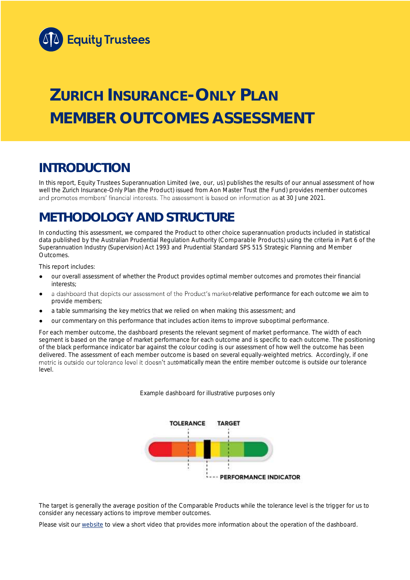

# **ZURICH INSURANCE-ONLY PLAN MEMBER OUTCOMES ASSESSMENT**

## **INTRODUCTION**

In this report, Equity Trustees Superannuation Limited (we, our, us) publishes the results of our annual assessment of how well the Zurich Insurance-Only Plan (the Product) issued from Aon Master Trust (the Fund) provides member outcomes and promotes members' financial interests. The assessment is based on information as at 30 June 2021.

## **METHODOLOGY AND STRUCTURE**

In conducting this assessment, we compared the Product to other choice superannuation products included in statistical data published by the Australian Prudential Regulation Authority (Comparable Products) using the criteria in Part 6 of the *Superannuation Industry (Supervision) Act 1993* and Prudential Standard SPS 515 *Strategic Planning and Member Outcomes*.

This report includes:

- our overall assessment of whether the Product provides optimal member outcomes and promotes their financial interests;
- a dashboard that depicts our assessment of the Product's market-relative performance for each outcome we aim to provide members;
- a table summarising the key metrics that we relied on when making this assessment; and
- our commentary on this performance that includes action items to improve suboptimal performance.

For each member outcome, the dashboard presents the relevant segment of market performance. The width of each segment is based on the range of market performance for each outcome and is specific to each outcome. The positioning of the black performance indicator bar against the colour coding is our assessment of how well the outcome has been delivered. The assessment of each member outcome is based on several equally-weighted metrics. Accordingly, if one metric is outside our tolerance level it doesn't automatically mean the entire member outcome is outside our tolerance level.

*Example dashboard for illustrative purposes only*



The target is generally the average position of the Comparable Products while the tolerance level is the trigger for us to consider any necessary actions to improve member outcomes.

Please visit our [website](https://www.eqt.com.au/superannuation) to view a short video that provides more information about the operation of the dashboard.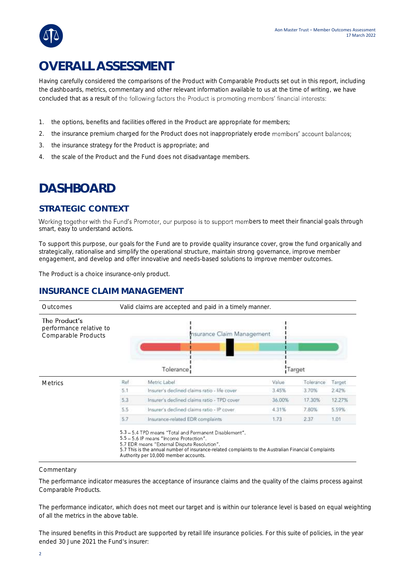## **OVERALL ASSESSMENT**

Having carefully considered the comparisons of the Product with Comparable Products set out in this report, including the dashboards, metrics, commentary and other relevant information available to us at the time of writing, we have concluded that as a result of the following factors the Product is promoting members' financial interests:

- 1. the options, benefits and facilities offered in the Product are appropriate for members;
- 2. the insurance premium charged for the Product does not inappropriately erode members' account balances;
- 3. the insurance strategy for the Product is appropriate; and
- 4. the scale of the Product and the Fund does not disadvantage members.

## **DASHBOARD**

### **STRATEGIC CONTEXT**

Working together with the Fund's Promoter, our purpose is to support members to meet their financial goals through smart, easy to understand actions.

To support this purpose, our goals for the Fund are to provide quality insurance cover, grow the fund organically and strategically, rationalise and simplify the operational structure, maintain strong governance, improve member engagement, and develop and offer innovative and needs-based solutions to improve member outcomes.

The Product is a choice insurance-only product.

### **INSURANCE CLAIM MANAGEMENT**



#### **Commentary**

The performance indicator measures the acceptance of insurance claims and the quality of the claims process against Comparable Products.

The performance indicator, which does not meet our target and is within our tolerance level is based on equal weighting of all the metrics in the above table.

The insured benefits in this Product are supported by retail life insurance policies. For this suite of policies, in the year ended 30 June 2021 the Fund's insurer: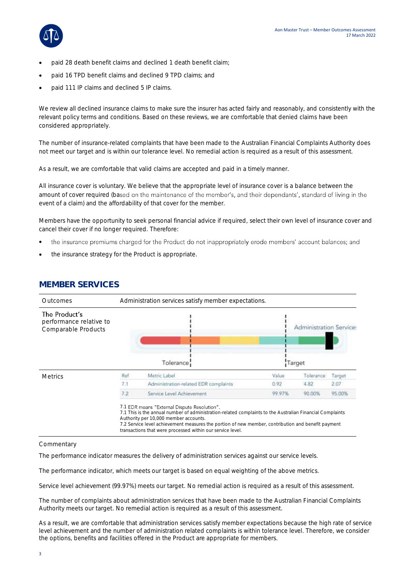

- paid 28 death benefit claims and declined 1 death benefit claim;
- paid 16 TPD benefit claims and declined 9 TPD claims; and
- paid 111 IP claims and declined 5 IP claims.

We review all declined insurance claims to make sure the insurer has acted fairly and reasonably, and consistently with the relevant policy terms and conditions. Based on these reviews, we are comfortable that denied claims have been considered appropriately.

The number of insurance-related complaints that have been made to the Australian Financial Complaints Authority does not meet our target and is within our tolerance level. No remedial action is required as a result of this assessment.

As a result, we are comfortable that valid claims are accepted and paid in a timely manner.

All insurance cover is voluntary. We believe that the appropriate level of insurance cover is a balance between the amount of cover required (based on the maintenance of the member's, and their dependants', standard of living in the event of a claim) and the affordability of that cover for the member.

Members have the opportunity to seek personal financial advice if required, select their own level of insurance cover and cancel their cover if no longer required. Therefore:

- the insurance premiums charged for the Product do not inappropriately erode members' account balances; and
- the insurance strategy for the Product is appropriate.



### **MEMBER SERVICES**

#### **Commentary**

The performance indicator measures the delivery of administration services against our service levels.

The performance indicator, which meets our target is based on equal weighting of the above metrics.

Service level achievement (99.97%) meets our target. No remedial action is required as a result of this assessment.

The number of complaints about administration services that have been made to the Australian Financial Complaints Authority meets our target. No remedial action is required as a result of this assessment.

As a result, we are comfortable that administration services satisfy member expectations because the high rate of service level achievement and the number of administration related complaints is within tolerance level. Therefore, we consider the options, benefits and facilities offered in the Product are appropriate for members.